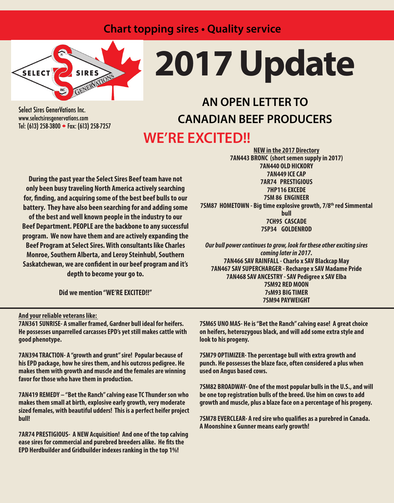## **Chart topping sires • Quality service**



Select Sires GenerVations Inc. www.selectsiresgenervations.com Tel: (613) 258-3800 • Fax: (613) 258-7257

## **WE'RE EXCITED!! AN OPEN LETTER TO CANADIAN BEEF PRODUCERS**

**During the past year the Select Sires Beef team have not only been busy traveling North America actively searching for, finding, and acquiring some of the best beef bulls to our battery. They have also been searching for and adding some of the best and well known people in the industry to our Beef Department. PEOPLE are the backbone to any successful program. We now have them and are actively expanding the Beef Program at Select Sires. With consultants like Charles Monroe, Southern Alberta, and Leroy Steinhubl, Southern Saskatchewan, we are confident in our beef program and it's depth to become your go to.** 

**Did we mention "WE'RE EXCITED!!"**

**And your reliable veterans like:** 

**7AN361 SUNRISE- A smaller framed, Gardner bull ideal for heifers. He possesses unparrelled carcasses EPD's yet still makes cattle with good phenotype.**

**7AN394 TRACTION- A "growth and grunt" sire! Popular because of his EPD package, how he sires them, and his outcross pedigree. He makes them with growth and muscle and the females are winning favor for those who have them in production.**

**7AN419 REMEDY – "Bet the Ranch" calving ease TC Thunder son who makes them small at birth, explosive early growth, very moderate sized females, with beautiful udders! This is a perfect heifer project bull!**

**7AR74 PRESTIGIOUS- A NEW Acquisition! And one of the top calving ease sires for commercial and purebred breeders alike. He fits the EPD Herdbuilder and Gridbuilder indexes ranking in the top 1%!** 

**NEW in the 2017 Directory 7AN443 BRONC (short semen supply in 2017) 7AN440 OLD HICKORY 7AN449 ICE CAP 7AR74 PRESTIGIOUS 7HP116 EXCEDE 7SM 86 ENGINEER 7SM87 HOMETOWN - Big time explosive growth, 7/8th red Simmental bull 7CH95 CASCADE 7SP34 GOLDENROD**

*Our bull power continues to grow, look for these other exciting sires coming later in 2017.*  **7AN466 SAV RAINFALL - Charlo x SAV Blackcap May 7AN467 SAV SUPERCHARGER - Recharge x SAV Madame Pride 7AN468 SAV ANCESTRY - SAV Pedigree x SAV Elba 7SM92 RED MOON 7sM93 BIG TIMER 7SM94 PAYWEIGHT**

**7SM65 UNO MAS- He is "Bet the Ranch" calving ease! A great choice on heifers, heterozygous black, and will add some extra style and look to his progeny.**

**7SM79 OPTIMIZER- The percentage bull with extra growth and punch. He possesses the blaze face, often considered a plus when used on Angus based cows.**

**7SM82 BROADWAY- One of the most popular bulls in the U.S., and will be one top registration bulls of the breed. Use him on cows to add growth and muscle, plus a blaze face on a percentage of his progeny.**

**7SM78 EVERCLEAR- A red sire who qualifies as a purebred in Canada. A Moonshine x Gunner means early growth!**